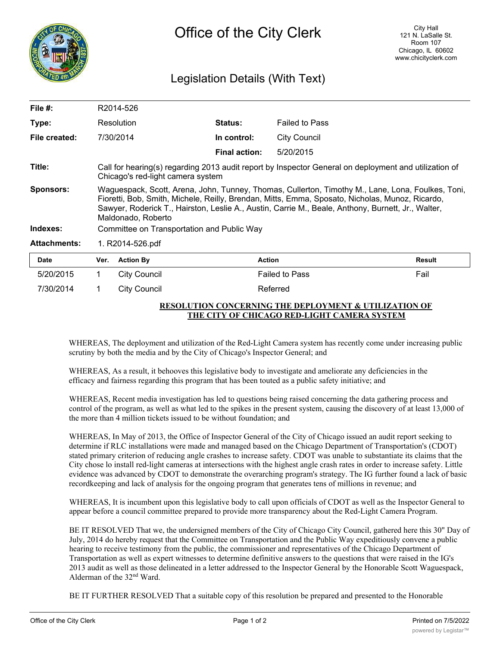

## Legislation Details (With Text)

| File #:             |                                                                                                                                                                                                                                                                                                                                  | R2014-526           |                      |                       |        |
|---------------------|----------------------------------------------------------------------------------------------------------------------------------------------------------------------------------------------------------------------------------------------------------------------------------------------------------------------------------|---------------------|----------------------|-----------------------|--------|
| Type:               | Resolution                                                                                                                                                                                                                                                                                                                       |                     | <b>Status:</b>       | <b>Failed to Pass</b> |        |
| File created:       |                                                                                                                                                                                                                                                                                                                                  | 7/30/2014           | In control:          | City Council          |        |
|                     |                                                                                                                                                                                                                                                                                                                                  |                     | <b>Final action:</b> | 5/20/2015             |        |
| Title:              | Call for hearing(s) regarding 2013 audit report by Inspector General on deployment and utilization of<br>Chicago's red-light camera system                                                                                                                                                                                       |                     |                      |                       |        |
| <b>Sponsors:</b>    | Waguespack, Scott, Arena, John, Tunney, Thomas, Cullerton, Timothy M., Lane, Lona, Foulkes, Toni,<br>Fioretti, Bob, Smith, Michele, Reilly, Brendan, Mitts, Emma, Sposato, Nicholas, Munoz, Ricardo,<br>Sawyer, Roderick T., Hairston, Leslie A., Austin, Carrie M., Beale, Anthony, Burnett, Jr., Walter,<br>Maldonado, Roberto |                     |                      |                       |        |
| Indexes:            | Committee on Transportation and Public Way                                                                                                                                                                                                                                                                                       |                     |                      |                       |        |
| <b>Attachments:</b> | 1. R2014-526.pdf                                                                                                                                                                                                                                                                                                                 |                     |                      |                       |        |
| <b>Date</b>         | Ver.                                                                                                                                                                                                                                                                                                                             | <b>Action By</b>    | <b>Action</b>        |                       | Result |
| 5/20/2015           | 1                                                                                                                                                                                                                                                                                                                                | <b>City Council</b> |                      | <b>Failed to Pass</b> | Fail   |

## **RESOLUTION CONCERNING THE DEPLOYMENT & UTILIZATION OF THE CITY OF CHICAGO RED-LIGHT CAMERA SYSTEM**

WHEREAS, The deployment and utilization of the Red-Light Camera system has recently come under increasing public scrutiny by both the media and by the City of Chicago's Inspector General; and

WHEREAS, As a result, it behooves this legislative body to investigate and ameliorate any deficiencies in the efficacy and fairness regarding this program that has been touted as a public safety initiative; and

7/30/2014 1 City Council 2012 12:00 Referred

WHEREAS, Recent media investigation has led to questions being raised concerning the data gathering process and control of the program, as well as what led to the spikes in the present system, causing the discovery of at least 13,000 of the more than 4 million tickets issued to be without foundation; and

WHEREAS, In May of 2013, the Office of Inspector General of the City of Chicago issued an audit report seeking to determine if RLC installations were made and managed based on the Chicago Department of Transportation's (CDOT) stated primary criterion of reducing angle crashes to increase safety. CDOT was unable to substantiate its claims that the City chose lo install red-light cameras at intersections with the highest angle crash rates in order to increase safety. Little evidence was advanced by CDOT to demonstrate the overarching program's strategy. The IG further found a lack of basic recordkeeping and lack of analysis for the ongoing program that generates tens of millions in revenue; and

WHEREAS, It is incumbent upon this legislative body to call upon officials of CDOT as well as the Inspector General to appear before a council committee prepared to provide more transparency about the Red-Light Camera Program.

BE IT RESOLVED That we, the undersigned members of the City of Chicago City Council, gathered here this 30" Day of July, 2014 do hereby request that the Committee on Transportation and the Public Way expeditiously convene a public hearing to receive testimony from the public, the commissioner and representatives of the Chicago Department of Transportation as well as expert witnesses to determine definitive answers to the questions that were raised in the IG's 2013 audit as well as those delineated in a letter addressed to the Inspector General by the Honorable Scott Waguespack, Alderman of the 32nd Ward.

BE IT FURTHER RESOLVED That a suitable copy of this resolution be prepared and presented to the Honorable